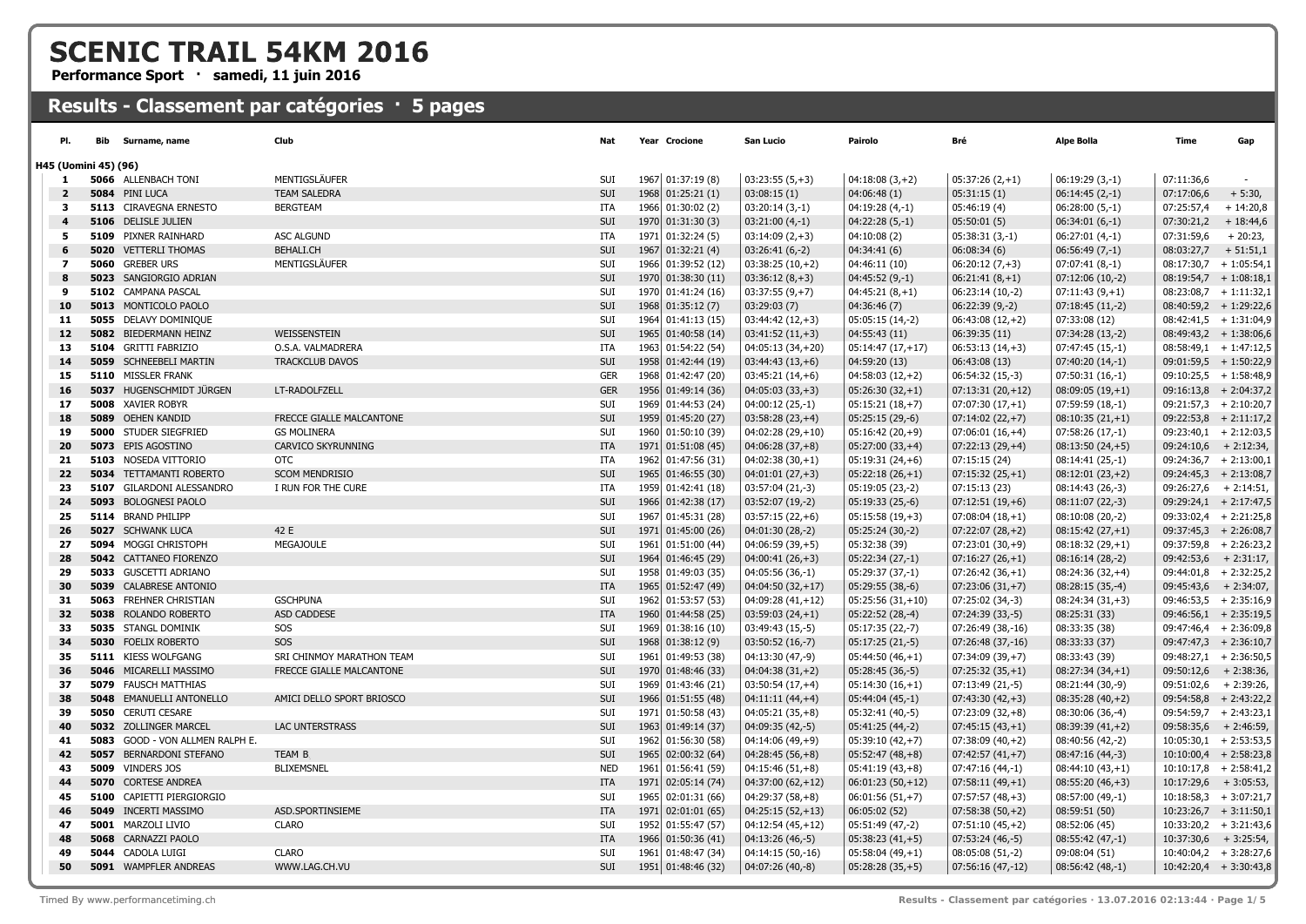## **SCENIC TRAIL 54KM 2016**

**Performance Sport · samedi, 11 juin 2016**

## **Results - Classement par catégories · 5 pages**

| PI.            | Bib<br>Surname, name             | Club                      | Nat        | Year Crocione      | San Lucio          | Pairolo             | Bré                | Alpe Bolla        | <b>Time</b>              | Gap         |
|----------------|----------------------------------|---------------------------|------------|--------------------|--------------------|---------------------|--------------------|-------------------|--------------------------|-------------|
|                | H45 (Uomini 45) (96)             |                           |            |                    |                    |                     |                    |                   |                          |             |
| 1.             | 5066 ALLENBACH TONI              | MENTIGSLÄUFER             | SUI        | 1967 01:37:19 (8)  | $03:23:55(5,+3)$   | $04:18:08(3,+2)$    | $05:37:26(2,+1)$   | $06:19:29(3,-1)$  | 07:11:36,6               | $\sim$      |
| $\overline{2}$ | 5084 PINI LUCA                   | <b>TEAM SALEDRA</b>       | SUI        | 1968 01:25:21 (1)  | 03:08:15(1)        | 04:06:48(1)         | 05:31:15(1)        | $06:14:45(2,-1)$  | 07:17:06,6               | $+5:30,$    |
| 3              | <b>5113 CIRAVEGNA ERNESTO</b>    | <b>BERGTEAM</b>           | ITA        | 1966 01:30:02 (2)  | $03:20:14(3,-1)$   | $04:19:28(4,-1)$    | 05:46:19 (4)       | $06:28:00(5,-1)$  | 07:25:57,4               | $+14:20,8$  |
| $\overline{4}$ | 5106 DELISLE JULIEN              |                           | SUI        | 1970 01:31:30 (3)  | $03:21:00(4,-1)$   | $04:22:28(5,-1)$    | 05:50:01(5)        | $06:34:01(6,-1)$  | 07:30:21,2               | $+18:44,6$  |
| 5              | 5109 PIXNER RAINHARD             | <b>ASC ALGUND</b>         | ITA        | 1971 01:32:24 (5)  | $03:14:09(2,+3)$   | 04:10:08(2)         | $05:38:31(3,-1)$   | $06:27:01(4,-1)$  | 07:31:59,6               | $+20:23,$   |
| 6              | <b>5020 VETTERLI THOMAS</b>      | <b>BEHALI.CH</b>          | SUI        | 1967 01:32:21 (4)  | $03:26:41(6,-2)$   | 04:34:41 (6)        | 06:08:34(6)        | $06:56:49(7,-1)$  | 08:03:27,7               | $+51:51,1$  |
| 7              | 5060 GREBER URS                  | MENTIGSLÄUFER             | SUI        | 1966 01:39:52 (12) | $03:38:25(10,+2)$  | 04:46:11 (10)       | $06:20:12(7,+3)$   | $07:07:41(8,-1)$  | $08:17:30,7$ + 1:05:54,1 |             |
| 8              | 5023 SANGIORGIO ADRIAN           |                           | SUI        | 1970 01:38:30 (11) | $03:36:12(8,+3)$   | $04:45:52(9,-1)$    | $06:21:41(8,+1)$   | $07:12:06(10,-2)$ | $08:19:54,7$ + 1:08:18,1 |             |
| 9              | 5102 CAMPANA PASCAL              |                           | SUI        | 1970 01:41:24 (16) | $03:37:55(9,+7)$   | $04:45:21(8,+1)$    | 06:23:14 (10,-2)   | $07:11:43(9,+1)$  | $08:23:08,7$ + 1:11:32,1 |             |
| 10             | 5013 MONTICOLO PAOLO             |                           | SUI        | 1968 01:35:12 (7)  | 03:29:03(7)        | 04:36:46 (7)        | $06:22:39(9,-2)$   | $07:18:45(11,-2)$ | $08:40:59,2 + 1:29:22,6$ |             |
| 11             | 5055 DELAVY DOMINIQUE            |                           | SUI        | 1964 01:41:13 (15) | $03:44:42(12,+3)$  | $05:05:15(14,-2)$   | $06:43:08(12,+2)$  | 07:33:08 (12)     | $08:42:41,5 + 1:31:04,9$ |             |
| 12             | 5082 BIEDERMANN HEINZ            | WEISSENSTEIN              | SUI        | 1965 01:40:58 (14) | $03:41:52(11,+3)$  | 04:55:43 (11)       | 06:39:35(11)       | $07:34:28(13,-2)$ | $08:49:43,2 + 1:38:06,6$ |             |
| 13             | 5104 GRITTI FABRIZIO             | O.S.A. VALMADRERA         | ITA        | 1963 01:54:22 (54) | 04:05:13 (34,+20)  | $05:14:47(17,+17)$  | $06:53:13(14,+3)$  | $07:47:45(15,-1)$ | $08:58:49,1$ + 1:47:12,5 |             |
| 14             | <b>5059</b> SCHNEEBELI MARTIN    | <b>TRACKCLUB DAVOS</b>    | <b>SUI</b> | 1958 01:42:44 (19) | $03:44:43(13,+6)$  | 04:59:20 (13)       | 06:43:08(13)       | $07:40:20(14,-1)$ | $09:01:59,5$ + 1:50:22,9 |             |
| 15             | 5110 MISSLER FRANK               |                           | <b>GER</b> | 1968 01:42:47 (20) | $03:45:21(14,+6)$  | $04:58:03(12,+2)$   | $06:54:32(15,-3)$  | 07:50:31 (16,-1)  | $09:10:25,5$ + 1:58:48,9 |             |
| 16             | 5037 HUGENSCHMIDT JÜRGEN         | LT-RADOLFZELL             | <b>GER</b> | 1956 01:49:14 (36) | $04:05:03(33,+3)$  | $05:26:30(32,+1)$   | $07:13:31(20,+12)$ | $08:09:05(19,+1)$ | $09:16:13,8$ + 2:04:37,2 |             |
| 17             | <b>5008</b> XAVIER ROBYR         |                           | SUI        | 1969 01:44:53 (24) | 04:00:12 (25,-1)   | $05:15:21(18,+7)$   | $07:07:30(17,+1)$  | 07:59:59 (18,-1)  | $09:21:57,3+2:10:20,7$   |             |
| 18             | 5089 OEHEN KANDID                | FRECCE GIALLE MALCANTONE  | SUI        | 1959 01:45:20 (27) | $03:58:28(23,+4)$  | $05:25:15(29,-6)$   | $07:14:02(22,+7)$  | $08:10:35(21,+1)$ | $09:22:53,8$ + 2:11:17,2 |             |
| 19             | <b>5000</b> STUDER SIEGFRIED     | <b>GS MOLINERA</b>        | SUI        | 1960 01:50:10 (39) | 04:02:28 (29,+10)  | $05:16:42(20,+9)$   | $07:06:01(16,+4)$  | $07:58:26(17,-1)$ | $09:23:40,1$ + 2:12:03,5 |             |
| 20             | 5073 EPIS AGOSTINO               | CARVICO SKYRUNNING        | <b>ITA</b> | 1971 01:51:08 (45) | $04:06:28(37,+8)$  | $05:27:00(33,+4)$   | $07:22:13(29,+4)$  | $08:13:50(24,+5)$ | $09:24:10,6$ + 2:12:34,  |             |
| 21             | 5103 NOSEDA VITTORIO             | <b>OTC</b>                | ITA        | 1962 01:47:56 (31) | $04:02:38(30,+1)$  | $05:19:31(24,+6)$   | 07:15:15 (24)      | 08:14:41 (25,-1)  | $09:24:36,7$ + 2:13:00,1 |             |
| 22             | <b>5034 TETTAMANTI ROBERTO</b>   | <b>SCOM MENDRISIO</b>     | SUI        | 1965 01:46:55 (30) | $04:01:01(27,+3)$  | $05:22:18(26,+1)$   | $07:15:32(25,+1)$  | $08:12:01(23,+2)$ | $09:24:45,3 + 2:13:08,7$ |             |
| 23             | 5107 GILARDONI ALESSANDRO        | I RUN FOR THE CURE        | ITA        | 1959 01:42:41 (18) | 03:57:04 (21,-3)   | 05:19:05 (23,-2)    | 07:15:13 (23)      | 08:14:43 (26,-3)  | $09:26:27,6$ + 2:14:51,  |             |
| 24             | 5093 BOLOGNESI PAOLO             |                           | SUI        | 1966 01:42:38 (17) | 03:52:07 (19,-2)   | 05:19:33 (25,-6)    | $07:12:51(19,+6)$  | 08:11:07 (22,-3)  | $09:29:24,1$ + 2:17:47,5 |             |
| 25             | 5114 BRAND PHILIPP               |                           | SUI        | 1967 01:45:31 (28) | $03:57:15(22,+6)$  | $05:15:58(19,+3)$   | $07:08:04(18,+1)$  | 08:10:08 (20,-2)  | $09:33:02,4$ + 2:21:25,8 |             |
| 26             | 5027 SCHWANK LUCA                | 42 E                      | SUI        | 1971 01:45:00 (26) | 04:01:30 (28,-2)   | $05:25:24(30,-2)$   | $07:22:07(28,+2)$  | $08:15:42(27,+1)$ | $09:37:45,3+2:26:08,7$   |             |
| 27             | 5094 MOGGI CHRISTOPH             | <b>MEGAJOULE</b>          | SUI        | 1961 01:51:00 (44) | $04:06:59(39,+5)$  | 05:32:38 (39)       | $07:23:01(30,+9)$  | $08:18:32(29,+1)$ | $09:37:59,8$ + 2:26:23,2 |             |
| 28             | 5042 CATTANEO FIORENZO           |                           | SUI        | 1964 01:46:45 (29) | $04:00:41(26,+3)$  | $05:22:34(27,-1)$   | $07:16:27(26,+1)$  | $08:16:14(28,-2)$ | $09:42:53,6$ + 2:31:17,  |             |
| 29             | 5033 GUSCETTI ADRIANO            |                           | SUI        | 1958 01:49:03 (35) | 04:05:56 (36,-1)   | 05:29:37 (37,-1)    | $07:26:42(36,+1)$  | $08:24:36(32,+4)$ | $09:44:01,8$ + 2:32:25,2 |             |
| 30             | <b>5039</b> CALABRESE ANTONIO    |                           | ITA        | 1965 01:52:47 (49) | $04:04:50(32,+17)$ | $05:29:55(38,-6)$   | $07:23:06(31,+7)$  | $08:28:15(35,-4)$ | $09:45:43,6$ + 2:34:07,  |             |
| 31             | <b>5063 FREHNER CHRISTIAN</b>    | <b>GSCHPUNA</b>           | SUI        | 1962 01:53:57 (53) | 04:09:28 (41,+12)  | 05:25:56 (31,+10)   | 07:25:02 (34,-3)   | $08:24:34(31,+3)$ | $09:46:53,5$ + 2:35:16,9 |             |
| 32             | 5038 ROLANDO ROBERTO             | ASD CADDESE               | ITA        | 1960 01:44:58 (25) | $03:59:03(24,+1)$  | $05:22:52(28,-4)$   | 07:24:39 (33,-5)   | 08:25:31 (33)     | $09:46:56,1$ + 2:35:19,5 |             |
| 33             | 5035 STANGL DOMINIK              | SOS                       | SUI        | 1969 01:38:16 (10) | 03:49:43 (15,-5)   | 05:17:35 (22,-7)    | 07:26:49 (38,-16)  | 08:33:35 (38)     | 09:47:46,4 + 2:36:09,8   |             |
| 34             | <b>5030 FOELIX ROBERTO</b>       | SOS                       | SUI        | 1968 01:38:12 (9)  | $03:50:52(16,-7)$  | 05:17:25 (21,-5)    | 07:26:48 (37,-16)  | 08:33:33 (37)     | $09:47:47,3 + 2:36:10,7$ |             |
| 35             | 5111 KIESS WOLFGANG              | SRI CHINMOY MARATHON TEAM | SUI        | 1961 01:49:53 (38) | 04:13:30 (47,-9)   | $05:44:50(46,+1)$   | 07:34:09 (39,+7)   | 08:33:43 (39)     | $09:48:27,1$ + 2:36:50,5 |             |
| 36             | 5046 MICARELLI MASSIMO           | FRECCE GIALLE MALCANTONE  | SUI        | 1970 01:48:46 (33) | $04:04:38(31,+2)$  | 05:28:45 (36,-5)    | $07:25:32(35,+1)$  | $08:27:34(34,+1)$ | 09:50:12,6               | $+2:38:36,$ |
| 37             | <b>5079</b> FAUSCH MATTHIAS      |                           | SUI        | 1969 01:43:46 (21) | $03:50:54(17,+4)$  | $05:14:30(16,+1)$   | 07:13:49 (21,-5)   | 08:21:44 (30,-9)  | $09:51:02,6$ + 2:39:26,  |             |
| 38             | <b>5048 EMANUELLI ANTONELLO</b>  | AMICI DELLO SPORT BRIOSCO | SUI        | 1966 01:51:55 (48) | $04:11:11(44,+4)$  | $05:44:04(45,-1)$   | $07:43:30(42,+3)$  | $08:35:28(40,+2)$ | $09:54:58,8$ + 2:43:22,2 |             |
| 39             | <b>5050 CERUTI CESARE</b>        |                           | SUI        | 1971 01:50:58 (43) | $04:05:21(35,+8)$  | 05:32:41 (40,-5)    | $07:23:09(32,+8)$  | 08:30:06 (36,-4)  | $09:54:59,7$ + 2:43:23,1 |             |
| 40             | 5032 ZOLLINGER MARCEL            | LAC UNTERSTRASS           | SUI        | 1963 01:49:14 (37) | 04:09:35 (42,-5)   | $05:41:25(44,-2)$   | $07:45:15(43,+1)$  | $08:39:39(41,+2)$ | $09:58:35,6$ + 2:46:59,  |             |
| 41             | 5083 GOOD - VON ALLMEN RALPH E.  |                           | SUI        | 1962 01:56:30 (58) | $04:14:06(49,+9)$  | $05:39:10(42,+7)$   | $07:38:09(40,+2)$  | 08:40:56 (42,-2)  | $10:05:30,1$ + 2:53:53,5 |             |
| 42             | <b>5057 BERNARDONI STEFANO</b>   | TEAM B.                   | SUI        | 1965 02:00:32 (64) | $04:28:45(56,+8)$  | $05:52:47(48,+8)$   | $07:42:57(41,+7)$  | 08:47:16 (44,-3)  | $10:10:00,4$ + 2:58:23,8 |             |
| 43             | <b>5009</b> VINDERS JOS          | <b>BLIXEMSNEL</b>         | <b>NED</b> | 1961 01:56:41 (59) | $04:15:46(51,+8)$  | $05:41:19(43,+8)$   | $07:47:16(44,-1)$  | $08:44:10(43,+1)$ | $10:10:17,8$ + 2:58:41,2 |             |
| 44             | <b>5070 CORTESE ANDREA</b>       |                           | ITA        | 1971 02:05:14 (74) | 04:37:00 (62,+12)  | $06:01:23(50,+12)$  | $07:58:11(49,+1)$  | $08:55:20(46,+3)$ | $10:17:29,6$ + 3:05:53,  |             |
| 45             | <b>5100 CAPIETTI PIERGIORGIO</b> |                           | SUI        | 1965 02:01:31 (66) | $04:29:37(58,+8)$  | $06:01:56(51,+7)$   | $07:57:57(48,+3)$  | 08:57:00 (49,-1)  | $10:18:58,3+3:07:21,7$   |             |
| 46             | <b>5049</b> INCERTI MASSIMO      | ASD.SPORTINSIEME          | ITA        | 1971 02:01:01 (65) | $04:25:15(52,+13)$ | 06:05:02 (52)       | $07:58:38(50,+2)$  | 08:59:51 (50)     | $10:23:26,7$ + 3:11:50,1 |             |
| 47             | 5001 MARZOLI LIVIO               | <b>CLARO</b>              | <b>SUI</b> | 1952 01:55:47 (57) | 04:12:54 (45,+12)  | 05:51:49 (47,-2)    | $07:51:10(45,+2)$  | 08:52:06 (45)     | $10:33:20,2 + 3:21:43,6$ |             |
| 48             | 5068 CARNAZZI PAOLO              |                           | <b>ITA</b> | 1966 01:50:36 (41) | 04:13:26 (46,-5)   | $05:38:23(41,+5)$   | $07:53:24(46,-5)$  | 08:55:42 (47,-1)  | $10:37:30,6$ + 3:25:54,  |             |
| 49             | 5044 CADOLA LUIGI                | <b>CLARO</b>              | SUI        | 1961 01:48:47 (34) | 04:14:15 (50,-16)  | $05:58:04(49,+1)$   | $08:05:08(51,-2)$  | 09:08:04 (51)     | $10:40:04,2 + 3:28:27,6$ |             |
| 50             | 5091 WAMPFLER ANDREAS            | WWW.LAG.CH.VU             | <b>SUI</b> | 1951 01:48:46 (32) | 04:07:26 (40,-8)   | $ 05:28:28(35,+5) $ | 07:56:16 (47,-12)  | 08:56:42 (48,-1)  | $10:42:20,4$ + 3:30:43,8 |             |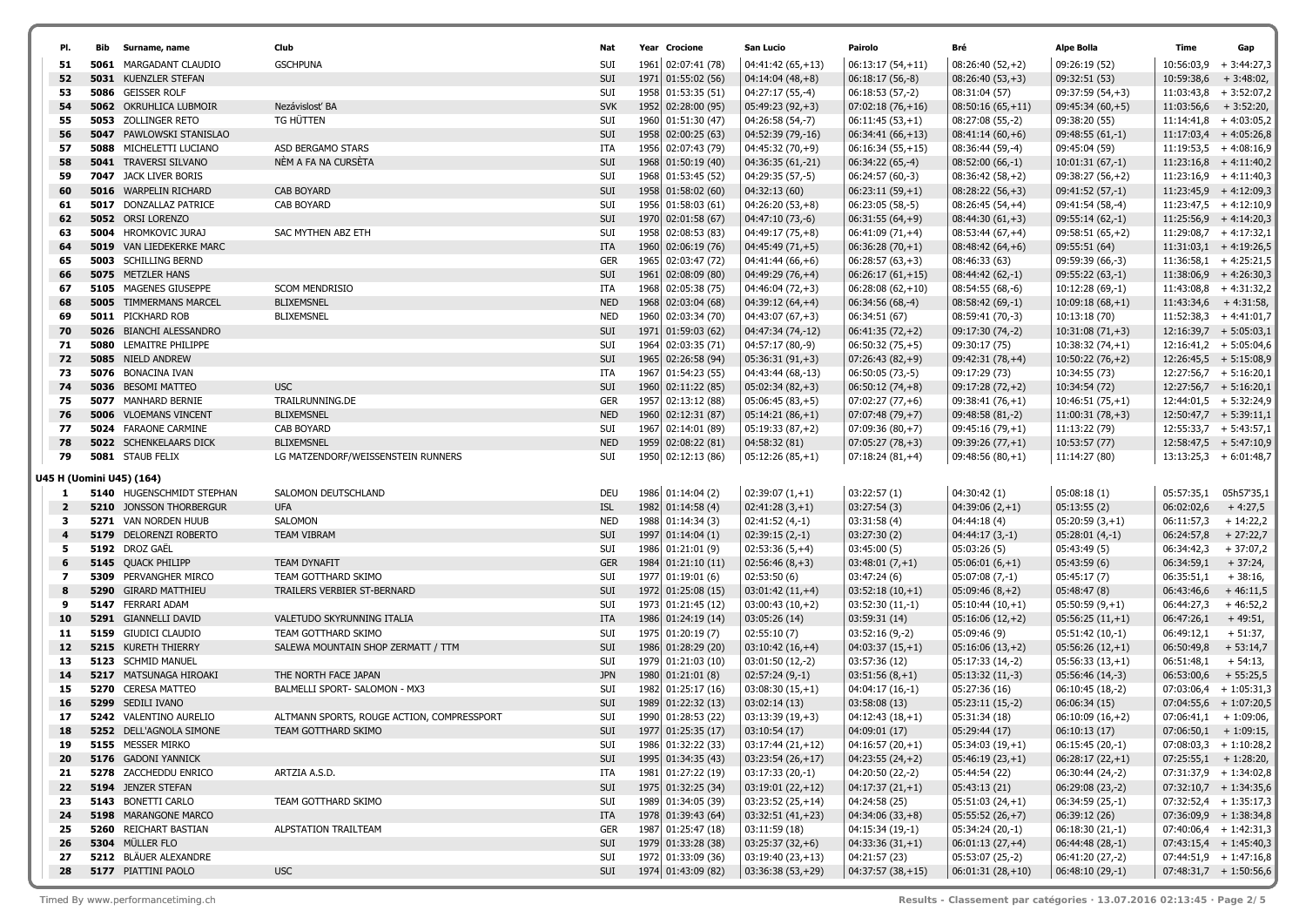| PI.            | <b>Bib</b> Surname, name                                 | Club                                       | Nat        | Year Crocione                            | San Lucio                                | Pairolo                                | Bré                                | Alpe Bolla                             | Time                    | Gap                                                  |
|----------------|----------------------------------------------------------|--------------------------------------------|------------|------------------------------------------|------------------------------------------|----------------------------------------|------------------------------------|----------------------------------------|-------------------------|------------------------------------------------------|
| 51             | <b>5061 MARGADANT CLAUDIO</b>                            | <b>GSCHPUNA</b>                            | <b>SUI</b> | 1961 02:07:41 (78)                       | 04:41:42 (65,+13)                        | $06:13:17(54,+11)$                     | $08:26:40(52,+2)$                  | 09:26:19 (52)                          | 10:56:03,9              | $+3:44:27,3$                                         |
| 52             | 5031 KUENZLER STEFAN                                     |                                            | SUI        | 1971 01:55:02 (56)                       | $04:14:04(48,+8)$                        | $06:18:17(56,-8)$                      | $08:26:40(53,+3)$                  | 09:32:51 (53)                          | 10:59:38,6              | $+3:48:02,$                                          |
| 53             | 5086 GEISSER ROLF                                        |                                            | SUI        | 1958 01:53:35 (51)                       | 04:27:17 (55,-4)                         | $06:18:53(57,-2)$                      | 08:31:04 (57)                      | 09:37:59 (54,+3)                       | 11:03:43,8              | $+3:52:07,2$                                         |
| 54             | <b>5062 OKRUHLICA LUBMOIR</b>                            | Nezávislosť BA                             | <b>SVK</b> | 1952 02:28:00 (95)                       | $05:49:23(92,+3)$                        | $07:02:18(76,+16)$                     | $08:50:16(65,+11)$                 | $09:45:34(60,+5)$                      | 11:03:56,6              | $+3:52:20,$                                          |
| 55             | 5053 ZOLLINGER RETO                                      | TG HÜTTEN                                  | SUI        | 1960 01:51:30 (47)                       | 04:26:58 (54,-7)                         | $06:11:45(53,+1)$                      | 08:27:08 (55,-2)                   | 09:38:20 (55)                          |                         | $11:14:41,8$ + 4:03:05,2                             |
| 56             | <b>5047 PAWLOWSKI STANISLAO</b>                          |                                            | SUI        | 1958 02:00:25 (63)                       | 04:52:39 (79,-16)                        | $06:34:41(66,+13)$                     | $08:41:14(60,+6)$                  | $09:48:55(61,-1)$                      |                         | $11:17:03,4$ + 4:05:26,8                             |
| 57             | <b>5088 MICHELETTI LUCIANO</b>                           | ASD BERGAMO STARS                          | ITA        | 1956 02:07:43 (79)                       | 04:45:32 (70,+9)                         | $06:16:34(55,+15)$                     | 08:36:44 (59,-4)                   | 09:45:04 (59)                          |                         | $11:19:53,5$ + 4:08:16,9                             |
| 58             | <b>5041 TRAVERSI SILVANO</b>                             | NÈM A FA NA CURSÈTA                        | SUI        | 1968 01:50:19 (40)                       | 04:36:35 (61,-21)                        | $06:34:22(65,-4)$                      | $08:52:00(66,-1)$                  | $10:01:31(67,-1)$                      |                         | $11:23:16,8$ + 4:11:40,2                             |
| 59             | 7047 JACK LIVER BORIS                                    |                                            | SUI        | 1968 01:53:45 (52)                       | 04:29:35 (57,-5)                         | 06:24:57 (60,-3)                       | $08:36:42(58,+2)$                  | $09:38:27(56,+2)$                      |                         | $11:23:16,9$ + 4:11:40,3                             |
| 60             | 5016 WARPELIN RICHARD                                    | <b>CAB BOYARD</b>                          | SUI        | 1958 01:58:02 (60)                       | 04:32:13 (60)                            | $06:23:11(59,+1)$                      | $08:28:22(56,+3)$                  | 09:41:52 (57,-1)                       |                         | $11:23:45,9$ + 4:12:09,3                             |
| 61             | 5017 DONZALLAZ PATRICE                                   | CAB BOYARD                                 | <b>SUI</b> | 1956 01:58:03 (61)                       | $04:26:20(53,+8)$                        | 06:23:05 (58,-5)                       | $08:26:45(54,+4)$                  | 09:41:54 (58,-4)                       |                         | $11:23:47,5$ + 4:12:10,9                             |
| 62             | 5052 ORSI LORENZO                                        |                                            | SUI        | 1970 02:01:58 (67)                       | 04:47:10 (73,-6)                         | $06:31:55(64,+9)$                      | $08:44:30(61,+3)$                  | 09:55:14 (62,-1)                       |                         | $11:25:56,9$ + 4:14:20,3                             |
| 63             | 5004 HROMKOVIC JURAJ                                     | SAC MYTHEN ABZ ETH                         | SUI        | 1958 02:08:53 (83)                       | 04:49:17 (75,+8)                         | $06:41:09(71,+4)$                      | $08:53:44(67,+4)$                  | $09:58:51(65,+2)$                      |                         | $11:29:08,7$ + 4:17:32,1                             |
| 64             | <b>5019</b> VAN LIEDEKERKE MARC                          |                                            | ITA        | 1960 02:06:19 (76)                       | $04:45:49(71,+5)$                        | $06:36:28(70,+1)$                      | $08:48:42(64,+6)$                  | 09:55:51 (64)                          |                         | $11:31:03,1$ + 4:19:26,5                             |
| 65             | <b>5003</b> SCHILLING BERND                              |                                            | <b>GER</b> | 1965 02:03:47 (72)                       | 04:41:44 (66,+6)                         | $06:28:57(63,+3)$                      | 08:46:33 (63)                      | 09:59:39 (66,-3)                       |                         | $11:36:58,1$ + 4:25:21,5                             |
| 66             | 5075 METZLER HANS                                        |                                            | SUI        | 1961 02:08:09 (80)                       | $04:49:29(76,+4)$                        | $06:26:17(61,+15)$                     | $08:44:42(62,-1)$                  | 09:55:22 (63,-1)                       |                         | $11:38:06,9$ + 4:26:30,3                             |
| 67             | <b>5105 MAGENES GIUSEPPE</b>                             | <b>SCOM MENDRISIO</b>                      | ITA        | 1968 02:05:38 (75)                       | 04:46:04 (72,+3)                         | $06:28:08(62,+10)$                     | 08:54:55 (68,-6)                   | 10:12:28 (69,-1)                       |                         | $11:43:08,8$ + 4:31:32,2                             |
| 68             | <b>5005 TIMMERMANS MARCEL</b>                            | <b>BLIXEMSNEL</b>                          | <b>NED</b> | 1968 02:03:04 (68)                       | $04:39:12(64,+4)$                        | $06:34:56(68,-4)$                      | $08:58:42(69,-1)$                  | $10:09:18(68,+1)$                      |                         | $11:43:34,6$ + 4:31:58,                              |
| 69             | <b>5011 PICKHARD ROB</b>                                 | <b>BLIXEMSNEL</b>                          | <b>NED</b> | 1960 02:03:34 (70)                       | 04:43:07 (67,+3)                         | 06:34:51 (67)                          | 08:59:41 (70,-3)                   | 10:13:18 (70)                          |                         | $11:52:38,3+4:41:01,7$                               |
| 70<br>71       | 5026 BIANCHI ALESSANDRO<br><b>5080 LEMAITRE PHILIPPE</b> |                                            | SUI        | 1971 01:59:03 (62)                       | 04:47:34 (74,-12)                        | $06:41:35(72,+2)$                      | 09:17:30 (74,-2)                   | $10:31:08(71,+3)$<br>$10:38:32(74,+1)$ |                         | $12:16:39,7$ + 5:05:03,1<br>$12:16:41,2 + 5:05:04,6$ |
| 72             | 5085 NIELD ANDREW                                        |                                            | SUI<br>SUI | 1964 02:03:35 (71)<br>1965 02:26:58 (94) | 04:57:17 (80,-9)<br>$05:36:31(91,+3)$    | $06:50:32(75,+5)$<br>$07:26:43(82,+9)$ | 09:30:17 (75)<br>$09:42:31(78,+4)$ | $10:50:22(76,+2)$                      |                         | $12:26:45,5$ + 5:15:08,9                             |
| 73             | 5076 BONACINA IVAN                                       |                                            | ITA        | 1967 01:54:23 (55)                       | 04:43:44 (68,-13)                        | 06:50:05 (73,-5)                       | 09:17:29 (73)                      | 10:34:55 (73)                          |                         | $12:27:56,7$ + 5:16:20,1                             |
| 74             | 5036 BESOMI MATTEO                                       | <b>USC</b>                                 | SUI        | 1960 02:11:22 (85)                       | $05:02:34(82,+3)$                        | $06:50:12(74,+8)$                      | $09:17:28(72,+2)$                  | 10:34:54 (72)                          |                         | $12:27:56,7$ + 5:16:20,1                             |
| 75             | 5077 MANHARD BERNIE                                      | TRAILRUNNING.DE                            | <b>GER</b> | 1957 02:13:12 (88)                       | $05:06:45(83,+5)$                        | $07:02:27(77,+6)$                      | $09:38:41(76,+1)$                  | $10:46:51(75,+1)$                      |                         | $12:44:01,5$ + 5:32:24,9                             |
| 76             | <b>5006</b> VLOEMANS VINCENT                             | <b>BLIXEMSNEL</b>                          | <b>NED</b> | 1960 02:12:31 (87)                       | $05:14:21(86,+1)$                        | $07:07:48(79,+7)$                      | $09:48:58(81,-2)$                  | $11:00:31(78,+3)$                      |                         | $12:50:47,7$ + 5:39:11,1                             |
| 77             | 5024 FARAONE CARMINE                                     | CAB BOYARD                                 | SUI        | 1967 02:14:01 (89)                       | $05:19:33(87,+2)$                        | $07:09:36(80,+7)$                      | $09:45:16(79,+1)$                  | 11:13:22 (79)                          |                         | $12:55:33,7$ + 5:43:57,1                             |
| 78             | <b>5022 SCHENKELAARS DICK</b>                            | <b>BLIXEMSNEL</b>                          | <b>NED</b> | 1959 02:08:22 (81)                       | 04:58:32 (81)                            | $07:05:27(78,+3)$                      | $09:39:26(77,+1)$                  | 10:53:57 (77)                          |                         | $12:58:47.5 + 5:47:10.9$                             |
| 79             | 5081 STAUB FELIX                                         | LG MATZENDORF/WEISSENSTEIN RUNNERS         | SUI        | 1950 02:12:13 (86)                       | $05:12:26(85,+1)$                        | $07:18:24(81,+4)$                      | 09:48:56 (80,+1)                   | 11:14:27 (80)                          |                         | $13:13:25,3 + 6:01:48,7$                             |
|                |                                                          |                                            |            |                                          |                                          |                                        |                                    |                                        |                         |                                                      |
| 1              | U45 H (Uomini U45) (164)<br>5140 HUGENSCHMIDT STEPHAN    | SALOMON DEUTSCHLAND                        | DEU        | 1986 01:14:04 (2)                        | $02:39:07(1,+1)$                         | 03:22:57(1)                            | 04:30:42 (1)                       | 05:08:18(1)                            | 05:57:35,1              | 05h57'35,1                                           |
| $\overline{2}$ | <b>5210 JONSSON THORBERGUR</b>                           | <b>UFA</b>                                 | <b>ISL</b> | 1982 01:14:58 (4)                        | $02:41:28(3,+1)$                         | 03:27:54(3)                            | $04:39:06(2,+1)$                   | 05:13:55(2)                            | 06:02:02,6              | $+4:27,5$                                            |
| 3              | 5271 VAN NORDEN HUUB                                     | SALOMON                                    | <b>NED</b> | 1988 01:14:34 (3)                        | $02:41:52(4,-1)$                         | 03:31:58(4)                            | 04:44:18 (4)                       | $05:20:59(3,+1)$                       | 06:11:57,3              | $+ 14:22,2$                                          |
| $\overline{4}$ | 5179 DELORENZI ROBERTO                                   | <b>TEAM VIBRAM</b>                         | SUI        | 1997 01:14:04 (1)                        | $02:39:15(2,-1)$                         | 03:27:30(2)                            | $04:44:17(3,-1)$                   | $05:28:01(4,-1)$                       | 06:24:57,8              | $+27:22,7$                                           |
| 5              | 5192 DROZ GAËL                                           |                                            | SUI        | 1986 01:21:01 (9)                        | $02:53:36(5,+4)$                         | 03:45:00 (5)                           | 05:03:26(5)                        | 05:43:49 (5)                           | 06:34:42,3              | $+37:07,2$                                           |
| 6              | 5145 QUACK PHILIPP                                       | <b>TEAM DYNAFIT</b>                        | <b>GER</b> | 1984 01:21:10 (11)                       | $02:56:46(8,+3)$                         | $03:48:01(7,+1)$                       | $05:06:01(6,+1)$                   | 05:43:59(6)                            | 06:34:59,1              | $+37:24,$                                            |
| 7              | <b>5309</b> PERVANGHER MIRCO                             | TEAM GOTTHARD SKIMO                        | SUI        | 1977 01:19:01 (6)                        | 02:53:50 (6)                             | 03:47:24 (6)                           | $05:07:08(7,-1)$                   | 05:45:17(7)                            | 06:35:51,1              | $+38:16,$                                            |
| 8              | 5290 GIRARD MATTHIEU                                     | TRAILERS VERBIER ST-BERNARD                | SUI        | 1972 01:25:08 (15)                       | $03:01:42(11,+4)$                        | $03:52:18(10,+1)$                      | $05:09:46(8,+2)$                   | 05:48:47 (8)                           | 06:43:46,6              | $+46:11,5$                                           |
| 9              | 5147 FERRARI ADAM                                        |                                            | SUI        | 1973 01:21:45 (12)                       | $03:00:43(10,+2)$                        | $03:52:30(11,-1)$                      | $05:10:44(10,+1)$                  | $05:50:59(9,+1)$                       | 06:44:27,3              | $+46:52,2$                                           |
| 10             | 5291 GIANNELLI DAVID                                     | VALETUDO SKYRUNNING ITALIA                 | <b>ITA</b> | 1986 01:24:19 (14)                       | 03:05:26 (14)                            | 03:59:31(14)                           | $05:16:06(12,+2)$                  | $05:56:25(11,+1)$                      | 06:47:26,1              | $+49:51,$                                            |
| 11             | 5159 GIUDICI CLAUDIO                                     | TEAM GOTTHARD SKIMO                        | SUI        | 1975 01:20:19 (7)                        | 02:55:10 (7)                             | $03:52:16(9,-2)$                       | 05:09:46 (9)                       | 05:51:42 (10,-1)                       | 06:49:12,1              | $+51:37,$                                            |
| 12             | 5215 KURETH THIERRY                                      | SALEWA MOUNTAIN SHOP ZERMATT / TTM         | SUI        | 1986 01:28:29 (20)                       | $03:10:42(16,+4)$                        | $04:03:37(15,+1)$                      | $05:16:06(13,+2)$                  | $05:56:26(12,+1)$                      | 06:50:49,8              | $+ 53:14,7$                                          |
| 13             | 5123 SCHMID MANUEL                                       |                                            | SUI        | 1979 01:21:03 (10)                       | $03:01:50(12,-2)$                        | 03:57:36 (12)                          | 05:17:33 (14,-2)                   | $05:56:33(13,+1)$                      | 06:51:48,1              | $+54:13,$                                            |
| 14             | 5217 MATSUNAGA HIROAKI                                   | THE NORTH FACE JAPAN                       | <b>JPN</b> | 1980 01:21:01 (8)                        | $02:57:24(9,-1)$                         | $03:51:56(8, +1)$                      | $05:13:32(11,-3)$                  | 05:56:46 (14,-3)                       | 06:53:00,6              | $+55:25,5$                                           |
| 15             | 5270 CERESA MATTEO                                       | BALMELLI SPORT- SALOMON - MX3              | <b>SUI</b> | 1982 01:25:17 (16)                       | $03:08:30(15,+1)$                        | $04:04:17(16,-1)$                      | 05:27:36 (16)                      | 06:10:45 (18,-2)                       |                         | $07:03:06,4$ + 1:05:31,3                             |
| 16             | 5299 SEDILI IVANO                                        |                                            | SUI        | 1989 01:22:32 (13)                       | 03:02:14(13)                             | 03:58:08(13)                           | $05:23:11(15,-2)$                  | 06:06:34(15)                           |                         | $07:04:55,6$ + 1:07:20,5                             |
| 17             | 5242 VALENTINO AURELIO                                   | ALTMANN SPORTS, ROUGE ACTION, COMPRESSPORT | SUI<br>SUI | 1990 01:28:53 (22)                       | $03:13:39(19,+3)$<br>03:10:54(17)        | $04:12:43(18,+1)$                      | 05:31:34 (18)                      | $06:10:09(16,+2)$<br>06:10:13(17)      | $07:06:41,1 + 1:09:06,$ |                                                      |
|                | 5252 DELL'AGNOLA SIMONE                                  | TEAM GOTTHARD SKIMO                        |            | 1977 01:25:35 (17)                       |                                          | 04:09:01(17)                           | 05:29:44 (17)<br>$05:34:03(19,+1)$ |                                        |                         | $07:06:50,1$ + 1:09:15,                              |
| 19<br>20       | 5155 MESSER MIRKO<br>5176 GADONI YANNICK                 |                                            | SUI<br>SUI | 1986 01:32:22 (33)<br>1995 01:34:35 (43) | $03:17:44(21,+12)$<br>$03:23:54(26,+17)$ | $04:16:57(20,+1)$<br>$04:23:55(24,+2)$ | $05:46:19(23,+1)$                  | $06:15:45(20,-1)$<br>$06:28:17(22,+1)$ |                         | $07:08:03,3 + 1:10:28,2$<br>$07:25:55,1$ + 1:28:20,  |
| 21             | 5278 ZACCHEDDU ENRICO                                    | ARTZIA A.S.D.                              | ITA        | 1981 01:27:22 (19)                       | $03:17:33(20,-1)$                        | 04:20:50 (22,-2)                       | 05:44:54 (22)                      | 06:30:44 (24,-2)                       |                         | $07:31:37,9$ + 1:34:02,8                             |
| 22             | 5194 JENZER STEFAN                                       |                                            | SUI        | 1975 01:32:25 (34)                       | $03:19:01(22,+12)$                       | $04:17:37(21,+1)$                      | 05:43:13 (21)                      | $06:29:08(23,-2)$                      |                         | $07:32:10,7$ + 1:34:35,6                             |
| 23             | 5143 BONETTI CARLO                                       | TEAM GOTTHARD SKIMO                        | SUI        | 1989 01:34:05 (39)                       | $03:23:52(25,+14)$                       | 04:24:58 (25)                          | $05:51:03(24,+1)$                  | 06:34:59 (25,-1)                       |                         | $07:32:52,4$ + 1:35:17,3                             |
| 24             | 5198 MARANGONE MARCO                                     |                                            | ITA        | 1978 01:39:43 (64)                       | $03:32:51(41,+23)$                       | $04:34:06(33,+8)$                      | $05:55:52(26,+7)$                  | 06:39:12 (26)                          |                         | $07:36:09,9$ + 1:38:34,8                             |
| 25             | <b>5260 REICHART BASTIAN</b>                             | ALPSTATION TRAILTEAM                       | GER        | 1987 01:25:47 (18)                       | 03:11:59(18)                             | 04:15:34 (19,-1)                       | $05:34:24(20,-1)$                  | $06:18:30(21,-1)$                      |                         | $07:40:06,4$ + 1:42:31,3                             |
| 26             | 5304 MÜLLER FLO                                          |                                            | SUI        | 1979 01:33:28 (38)                       | $03:25:37(32,+6)$                        | $04:33:36(31,+1)$                      | $06:01:13(27,+4)$                  | $06:44:48(28,-1)$                      |                         | $07:43:15,4$ + 1:45:40,3                             |
| 27             | 5212 BLÄUER ALEXANDRE                                    |                                            | SUI        | 1972 01:33:09 (36)                       | $03:19:40(23,+13)$                       | 04:21:57 (23)                          | 05:53:07 (25,-2)                   | 06:41:20 (27,-2)                       |                         | $07:44:51,9$ + 1:47:16,8                             |
| 28             | 5177 PIATTINI PAOLO                                      | <b>USC</b>                                 | SUI        | 1974 01:43:09 (82)                       | $03:36:38(53,+29)$                       | $ 04:37:57(38,+15) $                   | $ 06:01:31(28,+10) $               | $06:48:10(29,-1)$                      |                         | $07:48:31,7$ + 1:50:56,6                             |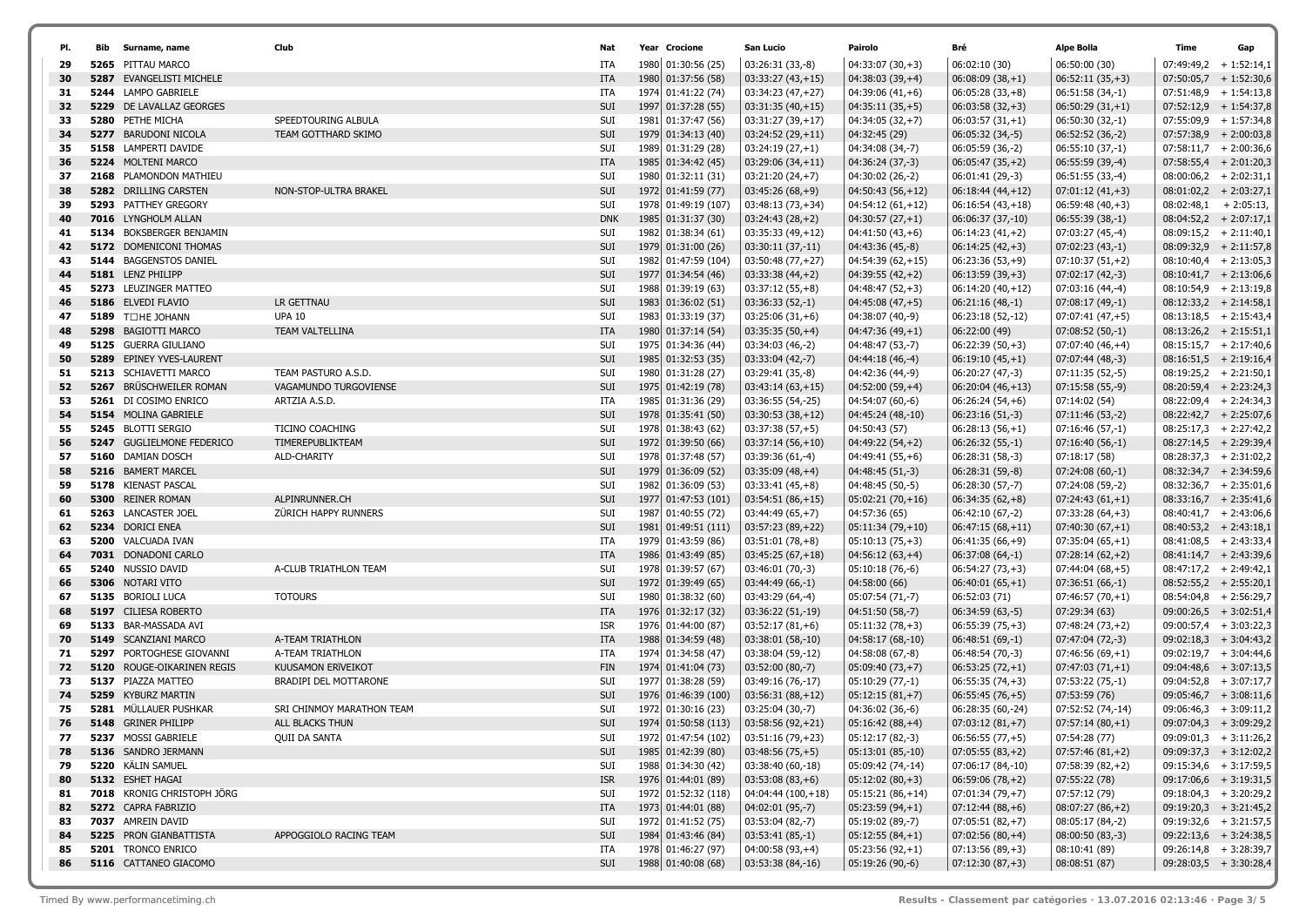| PI.      |      | <b>Bib</b> Surname, name                         | Club                      | Nat               | Year Crocione                             | San Lucio                                | Pairolo                                 | Bré                                    | Alpe Bolla                           | Time | Gap                                                  |
|----------|------|--------------------------------------------------|---------------------------|-------------------|-------------------------------------------|------------------------------------------|-----------------------------------------|----------------------------------------|--------------------------------------|------|------------------------------------------------------|
| 29       |      | 5265 PITTAU MARCO                                |                           | ITA               | 1980 01:30:56 (25)                        | 03:26:31 (33,-8)                         | $04:33:07(30,+3)$                       | 06:02:10 (30)                          | 06:50:00 (30)                        |      | $07:49:49,2 + 1:52:14,1$                             |
| 30       |      | <b>5287 EVANGELISTI MICHELE</b>                  |                           | ITA               | 1980 01:37:56 (58)                        | $03:33:27(43,+15)$                       | $04:38:03(39,+4)$                       | $06:08:09(38,+1)$                      | $06:52:11(35,+3)$                    |      | $07:50:05,7$ + 1:52:30,6                             |
| 31       |      | 5244 LAMPO GABRIELE                              |                           | ITA               | 1974 01:41:22 (74)                        | $03:34:23(47,+27)$                       | $04:39:06(41,+6)$                       | $06:05:28(33,+8)$                      | $06:51:58(34,-1)$                    |      | $07:51:48,9$ + 1:54:13,8                             |
| 32       |      | <b>5229</b> DE LAVALLAZ GEORGES                  |                           | SUI               | 1997 01:37:28 (55)                        | $03:31:35(40,+15)$                       | $04:35:11(35,+5)$                       | $06:03:58(32,+3)$                      | $06:50:29(31,+1)$                    |      | $07:52:12,9$ + 1:54:37,8                             |
| 33       |      | 5280 PETHE MICHA                                 | SPEEDTOURING ALBULA       | SUI               | 1981 01:37:47 (56)                        | $03:31:27(39,+17)$                       | $04:34:05(32,+7)$                       | $06:03:57(31,+1)$                      | 06:50:30 (32,-1)                     |      | $07:55:09,9$ + 1:57:34,8                             |
| 34       |      | <b>5277 BARUDONI NICOLA</b>                      | TEAM GOTTHARD SKIMO       | SUI               | 1979 01:34:13 (40)                        | $03:24:52(29,+11)$                       | 04:32:45 (29)                           | $06:05:32(34,-5)$                      | $06:52:52(36,-2)$                    |      | $07:57:38.9 + 2:00:03.8$                             |
| 35       |      | 5158 LAMPERTI DAVIDE                             |                           | SUI               | 1989 01:31:29 (28)                        | $03:24:19(27,+1)$                        | 04:34:08 (34,-7)                        | 06:05:59 (36,-2)                       | $06:55:10(37,-1)$                    |      | $07:58:11,7$ + 2:00:36,6                             |
| 36       |      | 5224 MOLTENI MARCO                               |                           | <b>ITA</b>        | 1985 01:34:42 (45)                        | $03:29:06(34,+11)$                       | 04:36:24 (37,-3)                        | $06:05:47(35,+2)$                      | $06:55:59(39,-4)$                    |      | $07:58:55,4$ + 2:01:20,3                             |
| 37       |      | 2168 PLAMONDON MATHIEU                           |                           | SUI               | 1980 01:32:11 (31)                        | $03:21:20(24,+7)$                        | 04:30:02 (26,-2)                        | 06:01:41 (29,-3)                       | 06:51:55 (33,-4)                     |      | $08:00:06,2 + 2:02:31,1$                             |
| 38       |      | 5282 DRILLING CARSTEN                            | NON-STOP-ULTRA BRAKEL     | SUI               | 1972 01:41:59 (77)                        | $03:45:26(68,+9)$                        | $04:50:43(56,+12)$                      | $06:18:44(44,+12)$                     | $07:01:12(41,+3)$                    |      | $08:01:02,2$ + 2:03:27,1                             |
| 39       |      | <b>5293 PATTHEY GREGORY</b>                      |                           | SUI               | 1978 01:49:19 (107)                       | $03:48:13(73,+34)$                       | $04:54:12(61,+12)$                      | $06:16:54(43,+18)$                     | $06:59:48(40,+3)$                    |      | $08:02:48,1$ + 2:05:13,                              |
| 40       |      | 7016 LYNGHOLM ALLAN                              |                           | <b>DNK</b>        | 1985 01:31:37 (30)                        | $03:24:43(28,+2)$                        | $04:30:57(27,+1)$                       | 06:06:37 (37,-10)                      | $06:55:39(38,-1)$                    |      | $08:04:52,2 + 2:07:17,1$                             |
| 41       |      | 5134 BOKSBERGER BENJAMIN                         |                           | SUI               | 1982 01:38:34 (61)                        | $03:35:33(49,+12)$                       | $04:41:50(43,+6)$                       | $06:14:23(41,+2)$                      | 07:03:27 (45,-4)                     |      | $08:09:15,2 + 2:11:40,1$                             |
| 42       |      | 5172 DOMENICONI THOMAS                           |                           | SUI               | 1979 01:31:00 (26)                        | 03:30:11 (37,-11)                        | 04:43:36 (45,-8)                        | $06:14:25(42,+3)$                      | $07:02:23(43,-1)$                    |      | $08:09:32,9$ + 2:11:57,8                             |
| 43       |      | 5144 BAGGENSTOS DANIEL                           |                           | SUI               | 1982 01:47:59 (104)                       | 03:50:48 (77,+27)                        | $04:54:39(62,+15)$                      | $06:23:36(53,+9)$                      | $07:10:37(51,+2)$                    |      | $08:10:40,4$ + 2:13:05,3                             |
| 44       |      | 5181 LENZ PHILIPP                                |                           | SUI               | 1977 01:34:54 (46)                        | $03:33:38(44,+2)$                        | $04:39:55(42,+2)$                       | $06:13:59(39,+3)$                      | $07:02:17(42,-3)$                    |      | $08:10:41,7$ + 2:13:06,6                             |
| 45       |      | 5273 LEUZINGER MATTEO                            |                           | SUI               | 1988 01:39:19 (63)                        | $03:37:12(55,+8)$                        | $04:48:47(52,+3)$                       | $06:14:20(40,+12)$                     | 07:03:16 (44,-4)                     |      | $08:10:54,9$ + 2:13:19,8                             |
| 46       |      | 5186 ELVEDI FLAVIO                               | LR GETTNAU                | SUI               | 1983 01:36:02 (51)                        | $03:36:33(52,-1)$                        | $04:45:08(47,+5)$                       | $06:21:16(48,-1)$                      | $07:08:17(49,-1)$                    |      | $08:12:33,2 + 2:14:58,1$                             |
| 47       |      | 5189 TOHE JOHANN                                 | <b>UPA 10</b>             | SUI               | 1983 01:33:19 (37)                        | $03:25:06(31,+6)$                        | 04:38:07 (40,-9)                        | 06:23:18 (52,-12)                      | $07:07:41(47,+5)$                    |      | $08:13:18,5$ + 2:15:43,4                             |
| 48       |      | 5298 BAGIOTTI MARCO                              | TEAM VALTELLINA           | <b>ITA</b>        | 1980 01:37:14 (54)                        | $03:35:35(50,+4)$                        | $04:47:36(49,+1)$                       | 06:22:00 (49)                          | $07:08:52(50,-1)$                    |      | $08:13:26,2 + 2:15:51,1$                             |
| 49<br>50 |      | 5125 GUERRA GIULIANO<br>5289 EPINEY YVES-LAURENT |                           | SUI<br>SUI        | 1975 01:34:36 (44)<br>1985 01:32:53 (35)  | 03:34:03 (46,-2)<br>$03:33:04(42,-7)$    | 04:48:47 (53,-7)                        | $06:22:39(50,+3)$                      | $07:07:40(46,+4)$                    |      | $08:15:15,7$ + 2:17:40,6<br>$08:16:51,5$ + 2:19:16,4 |
| 51       |      | 5213 SCHIAVETTI MARCO                            | TEAM PASTURO A.S.D.       |                   |                                           | 03:29:41 (35,-8)                         | 04:44:18 (46,-4)                        | $06:19:10(45,+1)$                      | 07:07:44 (48,-3)                     |      | $08:19:25,2$ + 2:21:50,1                             |
| 52       | 5267 | BRÜSCHWEILER ROMAN                               | VAGAMUNDO TURGOVIENSE     | SUI<br>SUI        | 1980 01:31:28 (27)<br>1975 01:42:19 (78)  | $03:43:14(63,+15)$                       | 04:42:36 (44,-9)<br>$04:52:00(59,+4)$   | 06:20:27 (47,-3)<br>$06:20:04(46,+13)$ | 07:11:35 (52,-5)<br>07:15:58 (55,-9) |      | $08:20:59,4$ + 2:23:24,3                             |
| 53       |      | 5261 DI COSIMO ENRICO                            | ARTZIA A.S.D.             | ITA               | 1985 01:31:36 (29)                        | 03:36:55 (54,-25)                        | 04:54:07 (60,-6)                        | $06:26:24(54,+6)$                      | 07:14:02 (54)                        |      | $08:22:09,4$ + 2:24:34,3                             |
| 54       |      | 5154 MOLINA GABRIELE                             |                           | SUI               | 1978 01:35:41 (50)                        | $03:30:53(38,+12)$                       | 04:45:24 (48,-10)                       | $06:23:16(51,-3)$                      | 07:11:46 (53,-2)                     |      | $08:22:42,7$ + 2:25:07,6                             |
| 55       |      | 5245 BLOTTI SERGIO                               | TICINO COACHING           | SUI               | 1978 01:38:43 (62)                        | $03:37:38(57,+5)$                        | 04:50:43 (57)                           | $06:28:13(56,+1)$                      | 07:16:46 (57,-1)                     |      | $08:25:17,3+2:27:42,2$                               |
| 56       |      | <b>5247</b> GUGLIELMONE FEDERICO                 | TIMEREPUBLIKTEAM          | SUI               | 1972 01:39:50 (66)                        | $03:37:14(56,+10)$                       | $04:49:22(54,+2)$                       | $06:26:32(55,-1)$                      | $07:16:40(56,-1)$                    |      | $08:27:14.5$ + 2:29:39.4                             |
| 57       |      | 5160 DAMIAN DOSCH                                | ALD-CHARITY               | SUI               | 1978 01:37:48 (57)                        | 03:39:36 (61,-4)                         | 04:49:41 (55,+6)                        | $06:28:31(58,-3)$                      | 07:18:17(58)                         |      | $08:28:37,3+2:31:02,2$                               |
| 58       |      | 5216 BAMERT MARCEL                               |                           | SUI               | 1979 01:36:09 (52)                        | $03:35:09(48,+4)$                        | 04:48:45 (51,-3)                        | $06:28:31(59,-8)$                      | $07:24:08(60,-1)$                    |      | $08:32:34,7$ + 2:34:59,6                             |
| 59       |      | 5178 KIENAST PASCAL                              |                           | SUI               | 1982 01:36:09 (53)                        | $03:33:41(45,+8)$                        | 04:48:45 (50,-5)                        | 06:28:30 (57,-7)                       | 07:24:08 (59,-2)                     |      | $08:32:36,7$ + 2:35:01,6                             |
| 60       |      | 5300 REINER ROMAN                                | ALPINRUNNER.CH            | SUI               | 1977 01:47:53 (101)                       | $03:54:51(86,+15)$                       | $05:02:21(70,+16)$                      | $06:34:35(62,+8)$                      | $07:24:43(61,+1)$                    |      | $08:33:16,7$ + 2:35:41,6                             |
| 61       |      | 5263 LANCASTER JOEL                              | ZÜRICH HAPPY RUNNERS      | SUI               | 1987 01:40:55 (72)                        | $03:44:49(65,+7)$                        | 04:57:36 (65)                           | 06:42:10 (67,-2)                       | $07:33:28(64,+3)$                    |      | $08:40:41,7$ + 2:43:06,6                             |
| 62       |      | 5234 DORICI ENEA                                 |                           | SUI               | 1981 01:49:51 (111)                       | $03:57:23(89,+22)$                       | $05:11:34(79,+10)$                      | $06:47:15(68,+11)$                     | $07:40:30(67,+1)$                    |      | $08:40:53,2 + 2:43:18,1$                             |
| 63       |      | 5200 VALCUADA IVAN                               |                           | ITA               | 1979 01:43:59 (86)                        | $03:51:01(78,+8)$                        | $05:10:13(75,+3)$                       | $06:41:35(66,+9)$                      | $07:35:04(65,+1)$                    |      | $08:41:08,5$ + 2:43:33,4                             |
| 64       |      | 7031 DONADONI CARLO                              |                           | <b>ITA</b>        | 1986 01:43:49 (85)                        | $03:45:25(67,+18)$                       | $04:56:12(63,+4)$                       | $06:37:08(64,-1)$                      | $07:28:14(62,+2)$                    |      | $08:41:14,7$ + 2:43:39,6                             |
| 65       |      | 5240 NUSSIO DAVID                                | A-CLUB TRIATHLON TEAM     | SUI               | 1978 01:39:57 (67)                        | 03:46:01 (70,-3)                         | 05:10:18 (76,-6)                        | $06:54:27(73,+3)$                      | $07:44:04(68,+5)$                    |      | $08:47:17,2 + 2:49:42,1$                             |
| 66       |      | 5306 NOTARI VITO                                 |                           | SUI               | 1972 01:39:49 (65)                        | $03:44:49(66,-1)$                        | 04:58:00 (66)                           | $06:40:01(65,+1)$                      | $07:36:51(66,-1)$                    |      | $08:52:55,2$ + 2:55:20,1                             |
| 67       |      | 5135 BORIOLI LUCA                                | <b>TOTOURS</b>            | SUI               | 1980 01:38:32 (60)                        | 03:43:29 (64,-4)                         | 05:07:54 (71,-7)                        | 06:52:03 (71)                          | $07:46:57(70,+1)$                    |      | $08:54:04,8$ + 2:56:29,7                             |
| 68       |      | <b>5197 CILIESA ROBERTO</b>                      |                           | <b>ITA</b>        | 1976 01:32:17 (32)                        | 03:36:22 (51,-19)                        | 04:51:50 (58,-7)                        | $06:34:59(63,-5)$                      | 07:29:34 (63)                        |      | $09:00:26,5$ + 3:02:51,4                             |
| 69       |      | 5133 BAR-MASSADA AVI                             |                           | ISR               | 1976 01:44:00 (87)                        | $03:52:17(81,+6)$                        | $05:11:32(78,+3)$                       | $06:55:39(75,+3)$                      | $07:48:24(73,+2)$                    |      | $09:00:57,4$ + 3:03:22,3                             |
| 70       |      | <b>5149</b> SCANZIANI MARCO                      | A-TEAM TRIATHLON          | <b>ITA</b>        | 1988 01:34:59 (48)                        | 03:38:01 (58,-10)                        | 04:58:17 (68,-10)                       | $06:48:51(69,-1)$                      | 07:47:04 (72,-3)                     |      | $09:02:18,3 + 3:04:43,2$                             |
| 71       |      | <b>5297 PORTOGHESE GIOVANNI</b>                  | A-TEAM TRIATHLON          | ITA               | 1974 01:34:58 (47)                        | 03:38:04 (59,-12)                        | 04:58:08 (67,-8)                        | 06:48:54 (70,-3)                       | $07:46:56(69,+1)$                    |      | $09:02:19,7$ + 3:04:44,6                             |
| 72       |      | 5120 ROUGE-OIKARINEN REGIS                       | KUUSAMON ERIVEIKOT        | <b>FIN</b>        | 1974 01:41:04 (73)                        | 03:52:00 (80,-7)                         | $05:09:40(73,+7)$                       | $06:53:25(72,+1)$                      | $07:47:03(71,+1)$                    |      | $09:04:48,6$ + 3:07:13,5                             |
| 73       |      | 5137 PIAZZA MATTEO                               | BRADIPI DEL MOTTARONE     | SUI               | 1977 01:38:28 (59)                        | 03:49:16 (76,-17)                        | 05:10:29 (77,-1)                        | $06:55:35(74,+3)$                      | 07:53:22 (75,-1)                     |      | $09:04:52,8$ + 3:07:17,7                             |
| 74       |      | 5259 KYBURZ MARTIN                               |                           | SUI               | 1976 01:46:39 (100)                       | $03:56:31(88,+12)$                       | $05:12:15(81,+7)$                       | $06:55:45(76,+5)$                      | 07:53:59 (76)                        |      | $09:05:46,7$ + 3:08:11,6                             |
| 75       |      | 5281 MÜLLAUER PUSHKAR                            | SRI CHINMOY MARATHON TEAM | SUI               | 1972 01:30:16 (23)                        | $03:25:04(30,-7)$                        | 04:36:02 (36,-6)                        | 06:28:35 (60,-24)                      | 07:52:52 (74,-14)                    |      | $09:06:46,3 + 3:09:11,2$                             |
| 76       |      | 5148 GRINER PHILIPP                              | ALL BLACKS THUN           | SUI               | 1974 01:50:58 (113)                       | $ 03:58:56(92,+21) $                     | $05:16:42(88,+4)$                       | $07:03:12(81,+7)$                      | $07:57:14(80,+1)$                    |      | $09:07:04,3 + 3:09:29,2$                             |
| 77       |      | <b>5237 MOSSI GABRIELE</b>                       | <b>QUII DA SANTA</b>      | SUI               | 1972 01:47:54 (102)                       | 03:51:16 (79,+23)                        | 05:12:17 (82,-3)                        | $06:56:55(77,+5)$                      | 07:54:28 (77)                        |      | $09:09:01,3 + 3:11:26,2$                             |
| 78       |      | 5136 SANDRO JERMANN<br>5220 KÄLIN SAMUEL         |                           | SUI               | 1985 01:42:39 (80)                        | $03:48:56(75,+5)$                        | 05:13:01 (85,-10)                       | $07:05:55(83,+2)$                      | $07:57:46(81,+2)$                    |      | $09:09:37,3$ + 3:12:02,2                             |
| 79<br>80 |      | 5132 ESHET HAGAI                                 |                           | SUI<br><b>ISR</b> | 1988 01:34:30 (42)                        | 03:38:40 (60,-18)                        | 05:09:42 (74,-14)                       | 07:06:17 (84,-10)                      | $07:58:39(82,+2)$                    |      | $09:15:34,6$ + 3:17:59,5<br>$09:17:06,6$ + 3:19:31,5 |
| 81       |      | 7018 KRONIG CHRISTOPH JÖRG                       |                           | SUI               | 1976 01:44:01 (89)<br>1972 01:52:32 (118) | $03:53:08(83, +6)$<br>04:04:44 (100,+18) | $05:12:02(80,+3)$<br>$05:15:21(86,+14)$ | $06:59:06(78,+2)$<br>$07:01:34(79,+7)$ | 07:55:22 (78)<br>07:57:12 (79)       |      | $09:18:04,3 + 3:20:29,2$                             |
| 82       |      | 5272 CAPRA FABRIZIO                              |                           | ITA               | 1973 01:44:01 (88)                        | 04:02:01 (95,-7)                         | $05:23:59(94,+1)$                       | $07:12:44(88,+6)$                      | $08:07:27(86,+2)$                    |      | $09:19:20,3 + 3:21:45,2$                             |
| 83       |      | 7037 AMREIN DAVID                                |                           | SUI               | 1972 01:41:52 (75)                        | 03:53:04 (82,-7)                         | 05:19:02 (89,-7)                        | $07:05:51(82,+7)$                      | 08:05:17 (84,-2)                     |      | $09:19:32,6$ + 3:21:57,5                             |
| 84       |      | <b>5225 PRON GIANBATTISTA</b>                    | APPOGGIOLO RACING TEAM    | SUI               | 1984 01:43:46 (84)                        | $03:53:41(85,-1)$                        | $05:12:55(84,+1)$                       | $07:02:56(80,+4)$                      | 08:00:50 (83,-3)                     |      | $09:22:13,6$ + 3:24:38,5                             |
| 85       |      | 5201 TRONCO ENRICO                               |                           | ITA               | 1978 01:46:27 (97)                        | $04:00:58(93,+4)$                        | $05:23:56(92,+1)$                       | $07:13:56(89,+3)$                      | 08:10:41 (89)                        |      | $09:26:14,8$ + 3:28:39,7                             |
| 86       |      | 5116 CATTANEO GIACOMO                            |                           | SUI               | 1988 01:40:08 (68)                        | 03:53:38 (84,-16)                        | $05:19:26(90,-6)$                       | $07:12:30(87,+3)$                      | 08:08:51 (87)                        |      | $09:28:03,5$ + 3:30:28,4                             |
|          |      |                                                  |                           |                   |                                           |                                          |                                         |                                        |                                      |      |                                                      |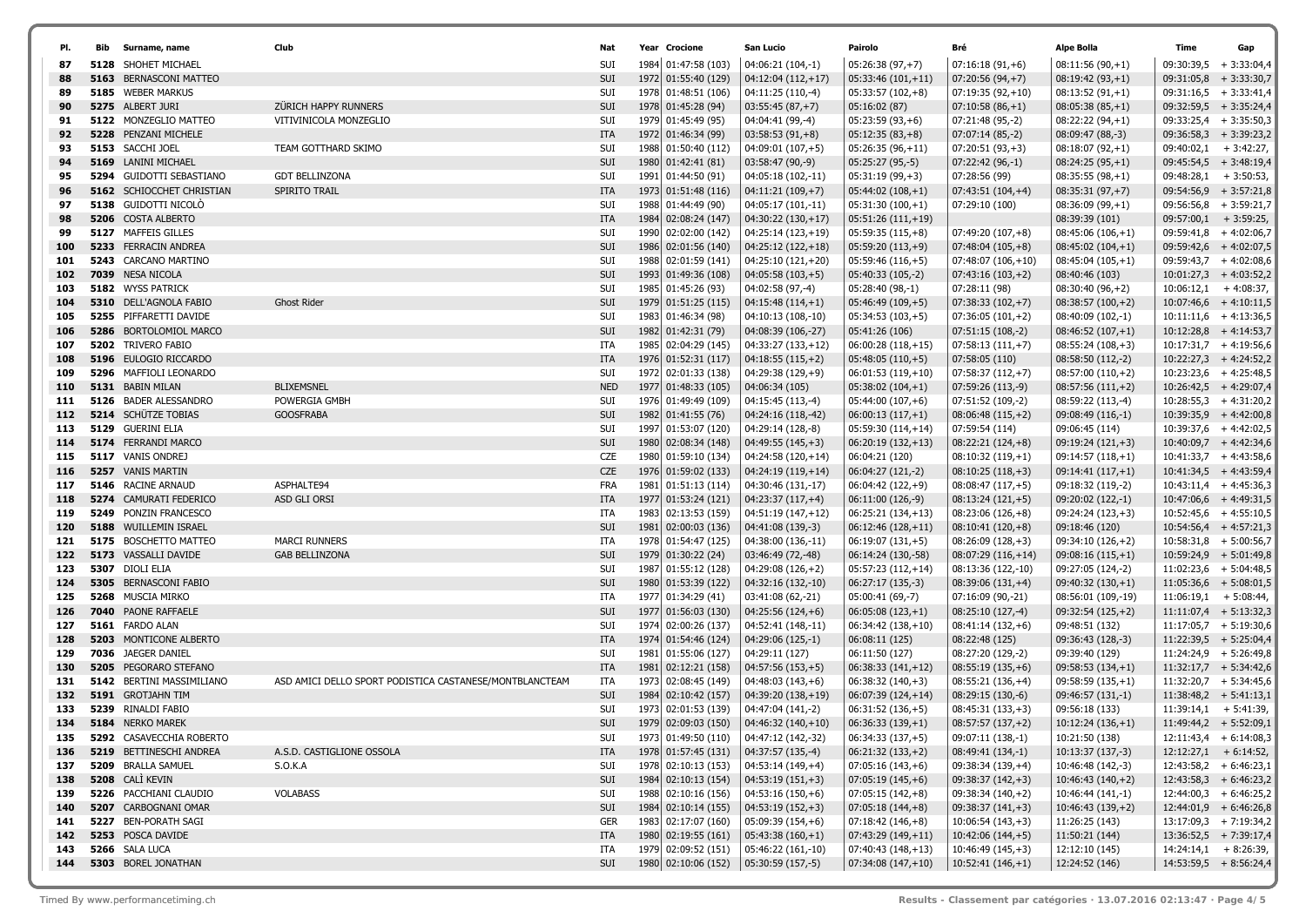|            | Bib  | Surname, name                                              | Club                                                    | Nat               | Year Crocione                              | San Lucio                               | Pairolo                                  | Bré                                     | Alpe Bolla                             | Time                    | Gap                                                  |
|------------|------|------------------------------------------------------------|---------------------------------------------------------|-------------------|--------------------------------------------|-----------------------------------------|------------------------------------------|-----------------------------------------|----------------------------------------|-------------------------|------------------------------------------------------|
| 87         | 5128 | SHOHET MICHAEL                                             |                                                         | <b>SUI</b>        | 1984 01:47:58 (103)                        | 04:06:21 (104,-1)                       | 05:26:38 (97,+7)                         | $07:16:18(91,+6)$                       | $08:11:56(90,+1)$                      |                         | $09:30:39,5$ + 3:33:04,4                             |
| 88         |      | <b>5163 BERNASCONI MATTEO</b>                              |                                                         | <b>SUI</b>        | 1972 01:55:40 (129)                        | 04:12:04 (112,+17)                      | $05:33:46(101,+11)$                      | $07:20:56(94,+7)$                       | $08:19:42(93,+1)$                      | 09:31:05,8              | $+3:33:30,7$                                         |
| 89         |      | 5185 WEBER MARKUS                                          |                                                         | SUI               | 1978 01:48:51 (106)                        | 04:11:25 (110,-4)                       | $05:33:57(102,+8)$                       | $07:19:35(92,+10)$                      | $08:13:52(91,+1)$                      |                         | $09:31:16,5$ + 3:33:41,4                             |
| 90         |      | 5275 ALBERT JURI                                           | ZÜRICH HAPPY RUNNERS                                    | SUI               | 1978 01:45:28 (94)                         | $03:55:45(87,+7)$                       | 05:16:02 (87)                            | $07:10:58(86,+1)$                       | $08:05:38(85,+1)$                      |                         | $09:32:59,5$ + 3:35:24,4                             |
| 91         |      | 5122 MONZEGLIO MATTEO                                      | VITIVINICOLA MONZEGLIO                                  | SUI               | 1979 01:45:49 (95)                         | 04:04:41 (99,-4)                        | $05:23:59(93,+6)$                        | 07:21:48 (95,-2)                        | $08:22:22(94,+1)$                      |                         | $09:33:25,4$ + 3:35:50,3                             |
| 92         |      | 5228 PENZANI MICHELE                                       |                                                         | <b>ITA</b>        | 1972 01:46:34 (99)                         | $03:58:53(91,+8)$                       | $05:12:35(83,+8)$                        | $07:07:14(85,-2)$                       | 08:09:47 (88,-3)                       |                         | $09:36:58,3+3:39:23,2$                               |
| 93         |      | 5153 SACCHI JOEL                                           | TEAM GOTTHARD SKIMO                                     | SUI               | 1988 01:50:40 (112)                        | 04:09:01 (107,+5)                       | $05:26:35(96,+11)$                       | $07:20:51(93,+3)$                       | $08:18:07(92,+1)$                      |                         | $09:40:02,1$ + 3:42:27,                              |
| 94         |      | 5169 LANINI MICHAEL                                        |                                                         | SUI               | 1980 01:42:41 (81)                         | 03:58:47 (90,-9)                        | 05:25:27 (95,-5)                         | 07:22:42 (96,-1)                        | $08:24:25(95,+1)$                      |                         | $09:45:54,5$ + 3:48:19,4                             |
| 95         |      | <b>5294 GUIDOTTI SEBASTIANO</b>                            | <b>GDT BELLINZONA</b>                                   | SUI               | 1991 01:44:50 (91)                         | 04:05:18 (102,-11)                      | $05:31:19(99,+3)$                        | 07:28:56 (99)                           | $08:35:55(98,+1)$                      |                         | $09:48:28,1$ + 3:50:53,                              |
| 96         |      | 5162 SCHIOCCHET CHRISTIAN                                  | SPIRITO TRAIL                                           | <b>ITA</b>        | 1973 01:51:48 (116)                        | $04:11:21(109,+7)$                      | $05:44:02(108,+1)$                       | $07:43:51(104,+4)$                      | $08:35:31(97,+7)$                      |                         | $09:54:56,9$ + 3:57:21,8                             |
| 97         |      | 5138 GUIDOTTI NICOLÒ                                       |                                                         | SUI               | 1988 01:44:49 (90)                         | 04:05:17 (101,-11)                      | $05:31:30(100,+1)$                       | 07:29:10 (100)                          | $08:36:09(99,+1)$                      |                         | $09:56:56,8$ + 3:59:21,7                             |
| 98         |      | 5206 COSTA ALBERTO                                         |                                                         | <b>ITA</b>        | 1984 02:08:24 (147)                        | $04:30:22(130,+17)$                     | $05:51:26(111,+19)$                      |                                         | 08:39:39 (101)                         | $09:57:00,1$ + 3:59:25, |                                                      |
| 99         |      | 5127 MAFFEIS GILLES                                        |                                                         | SUI               | 1990 02:02:00 (142)                        | 04:25:14 (123,+19)                      | $05:59:35(115,+8)$                       | $07:49:20(107,+8)$                      | $08:45:06(106,+1)$                     |                         | $09:59:41,8$ + 4:02:06,7                             |
| 100        |      | 5233 FERRACIN ANDREA                                       |                                                         | SUI               | 1986 02:01:56 (140)                        | 04:25:12 (122,+18)                      | $05:59:20(113,+9)$                       | $07:48:04(105,+8)$                      | $08:45:02(104,+1)$                     |                         | $09:59:42,6$ + 4:02:07,5                             |
| 101        |      | 5243 CARCANO MARTINO                                       |                                                         | SUI               | 1988 02:01:59 (141)                        | 04:25:10 (121,+20)                      | $05:59:46(116,+5)$                       | 07:48:07 (106,+10)                      | $08:45:04(105,+1)$                     |                         | $09:59:43,7$ + 4:02:08,6                             |
| 102        |      | 7039 NESA NICOLA                                           |                                                         | SUI               | 1993 01:49:36 (108)                        | $04:05:58(103,+5)$                      | 05:40:33 (105,-2)                        | $07:43:16(103,+2)$                      | 08:40:46 (103)                         |                         | $10:01:27,3 + 4:03:52,2$                             |
| 103        |      | 5182 WYSS PATRICK                                          |                                                         | SUI               | 1985 01:45:26 (93)                         | 04:02:58 (97,-4)                        | 05:28:40 (98,-1)                         | 07:28:11 (98)                           | $08:30:40(96,+2)$                      |                         | $10:06:12,1$ + 4:08:37,                              |
| 104        |      | 5310 DELL'AGNOLA FABIO                                     | <b>Ghost Rider</b>                                      | SUI               | 1979 01:51:25 (115)                        | $04:15:48(114,+1)$                      | $05:46:49(109,+5)$                       | $07:38:33(102,+7)$                      | $08:38:57(100,+2)$                     |                         | $10:07:46,6$ + 4:10:11,5                             |
| 105        |      | <b>5255 PIFFARETTI DAVIDE</b>                              |                                                         | SUI               | 1983 01:46:34 (98)                         | 04:10:13 (108,-10)                      | 05:34:53 (103,+5)                        | $07:36:05(101,+2)$                      | 08:40:09 (102,-1)                      |                         | $10:11:11,6$ + 4:13:36,5                             |
| 106        |      | 5286 BORTOLOMIOL MARCO                                     |                                                         | SUI               | 1982 01:42:31 (79)                         | 04:08:39 (106,-27)                      | 05:41:26 (106)                           | 07:51:15 (108,-2)                       | $08:46:52(107,+1)$                     |                         | $10:12:28,8$ + 4:14:53,7                             |
| 107        |      | 5202 TRIVERO FABIO                                         |                                                         | ITA               | 1985 02:04:29 (145)                        | 04:33:27 (133,+12)                      | $06:00:28(118,+15)$                      | $07:58:13(111,+7)$                      | $08:55:24(108,+3)$                     |                         | $10:17:31,7$ + 4:19:56,6                             |
| 108        |      | 5196 EULOGIO RICCARDO                                      |                                                         | ITA               | 1976 01:52:31 (117)                        | $04:18:55(115,+2)$                      | $05:48:05(110,+5)$                       | 07:58:05 (110)                          | 08:58:50 (112,-2)                      |                         | $10:22:27,3$ + 4:24:52,2                             |
| 109        |      | 5296 MAFFIOLI LEONARDO<br>5131 BABIN MILAN                 | <b>BLIXEMSNEL</b>                                       | SUI               | 1972 02:01:33 (138)                        | 04:29:38 (129,+9)                       | 06:01:53 (119,+10)                       | $07:58:37(112,+7)$                      | $08:57:00(110,+2)$                     |                         | $10:23:23,6$ + 4:25:48,5<br>$10:26:42,5$ + 4:29:07,4 |
| 110<br>111 |      | 5126 BADER ALESSANDRO                                      | POWERGIA GMBH                                           | <b>NED</b><br>SUI | 1977 01:48:33 (105)                        | 04:06:34 (105)                          | $05:38:02(104,+1)$                       | 07:59:26 (113,-9)<br>07:51:52 (109,-2)  | $08:57:56(111,+2)$                     |                         | $10:28:55,3 + 4:31:20,2$                             |
| 112        |      | <b>5214 SCHÜTZE TOBIAS</b>                                 | <b>GOOSFRABA</b>                                        | SUI               | 1976 01:49:49 (109)<br>1982 01:41:55 (76)  | 04:15:45 (113,-4)<br>04:24:16 (118,-42) | 05:44:00 (107,+6)<br>$06:00:13(117,+1)$  | $08:06:48(115,+2)$                      | 08:59:22 (113,-4)<br>09:08:49 (116,-1) |                         | $10:39:35,9$ + 4:42:00,8                             |
| 113        |      | 5129 GUERINI ELIA                                          |                                                         | SUI               | 1997 01:53:07 (120)                        | 04:29:14 (128,-8)                       | 05:59:30 (114,+14)                       | 07:59:54 (114)                          | 09:06:45 (114)                         |                         | $10:39:37,6$ + 4:42:02,5                             |
| 114        |      | 5174 FERRANDI MARCO                                        |                                                         | SUI               | 1980 02:08:34 (148)                        | $04:49:55(145,+3)$                      | $06:20:19(132,+13)$                      | $08:22:21(124,+8)$                      | $09:19:24(121,+3)$                     |                         | $10:40:09,7$ + 4:42:34,6                             |
| 115        |      | 5117 VANIS ONDREJ                                          |                                                         | CZE               | 1980 01:59:10 (134)                        | 04:24:58 (120,+14)                      | 06:04:21 (120)                           | $08:10:32(119,+1)$                      | $09:14:57(118,+1)$                     |                         | $10:41:33,7$ + 4:43:58,6                             |
| 116        |      | 5257 VANIS MARTIN                                          |                                                         | CZE               | 1976 01:59:02 (133)                        | 04:24:19 (119,+14)                      | 06:04:27 (121,-2)                        | $08:10:25(118,+3)$                      | $09:14:41(117,+1)$                     |                         | $10:41:34,5 + 4:43:59,4$                             |
| 117        |      | 5146 RACINE ARNAUD                                         | ASPHALTE94                                              | FRA               | 1981 01:51:13 (114)                        | 04:30:46 (131,-17)                      | 06:04:42 (122,+9)                        | $08:08:47(117,+5)$                      | 09:18:32 (119,-2)                      |                         | $10:43:11,4$ + 4:45:36,3                             |
| 118        |      | 5274 CAMURATI FEDERICO                                     | ASD GLI ORSI                                            | <b>ITA</b>        | 1977 01:53:24 (121)                        | 04:23:37 (117,+4)                       | 06:11:00 (126,-9)                        | $08:13:24(121,+5)$                      | 09:20:02 (122,-1)                      |                         | $10:47:06,6$ + 4:49:31,5                             |
| 119        |      | 5249 PONZIN FRANCESCO                                      |                                                         | ITA               | 1983 02:13:53 (159)                        | 04:51:19 (147,+12)                      | 06:25:21 (134,+13)                       | $08:23:06(126,+8)$                      | 09:24:24 (123,+3)                      |                         | $10:52:45,6$ + 4:55:10,5                             |
| 120        |      | 5188 WUILLEMIN ISRAEL                                      |                                                         | SUI               | 1981 02:00:03 (136)                        | 04:41:08 (139,-3)                       | $06:12:46(128,+11)$                      | $08:10:41(120,+8)$                      | 09:18:46 (120)                         |                         | $10:54:56,4$ + 4:57:21,3                             |
| 121        |      | 5175 BOSCHETTO MATTEO                                      | <b>MARCI RUNNERS</b>                                    | ITA               | 1978 01:54:47 (125)                        | 04:38:00 (136,-11)                      | 06:19:07 (131,+5)                        | $08:26:09(128,+3)$                      | 09:34:10 (126,+2)                      |                         | $10:58:31,8$ + 5:00:56,7                             |
| 122        |      | 5173 VASSALLI DAVIDE                                       | <b>GAB BELLINZONA</b>                                   | SUI               | 1979 01:30:22 (24)                         | 03:46:49 (72,-48)                       | 06:14:24 (130,-58)                       | 08:07:29 (116,+14)                      | $09:08:16(115,+1)$                     |                         | $10:59:24,9$ + 5:01:49,8                             |
| 123        |      | 5307 DIOLI ELIA                                            |                                                         | <b>SUI</b>        | 1987 01:55:12 (128)                        | 04:29:08 (126,+2)                       | 05:57:23 (112,+14)                       | 08:13:36 (122,-10)                      | 09:27:05 (124,-2)                      |                         | $11:02:23,6$ + 5:04:48,5                             |
| 124        |      | 5305 BERNASCONI FABIO                                      |                                                         | SUI               | 1980 01:53:39 (122)                        | 04:32:16 (132,-10)                      | 06:27:17 (135,-3)                        | $08:39:06(131,+4)$                      | $09:40:32(130,+1)$                     |                         | $11:05:36,6$ + 5:08:01,5                             |
| 125        |      | 5268 MUSCIA MIRKO                                          |                                                         | ITA               | 1977 01:34:29 (41)                         | 03:41:08 (62,-21)                       | 05:00:41 (69,-7)                         | 07:16:09 (90,-21)                       | 08:56:01 (109,-19)                     |                         | $11:06:19,1$ + 5:08:44,                              |
| 126        |      | 7040 PAONE RAFFAELE                                        |                                                         | SUI               | 1977 01:56:03 (130)                        | 04:25:56 (124,+6)                       | $06:05:08(123,+1)$                       | 08:25:10 (127,-4)                       | $09:32:54(125,+2)$                     |                         | $11:11:07,4$ + 5:13:32,3                             |
| 127        |      | 5161 FARDO ALAN                                            |                                                         | SUI               | 1974 02:00:26 (137)                        | 04:52:41 (148,-11)                      | 06:34:42 (138,+10)                       | $08:41:14(132,+6)$                      | 09:48:51 (132)                         |                         | $11:17:05,7$ + 5:19:30,6                             |
| 128        |      | <b>5203 MONTICONE ALBERTO</b>                              |                                                         | <b>ITA</b>        | 1974 01:54:46 (124)                        | 04:29:06 (125,-1)                       | 06:08:11 (125)                           | 08:22:48 (125)                          | 09:36:43 (128,-3)                      |                         | $11:22:39,5$ + 5:25:04,4                             |
| 129        |      | 7036 JAEGER DANIEL                                         |                                                         | SUI               | 1981 01:55:06 (127)                        | 04:29:11 (127)                          | 06:11:50 (127)                           | 08:27:20 (129,-2)                       | 09:39:40 (129)                         |                         | $11:24:24.9$ + 5:26:49.8                             |
| 130        |      | 5205 PEGORARO STEFANO                                      |                                                         | <b>ITA</b>        | 1981 02:12:21 (158)                        | $04:57:56(153,+5)$                      | $06:38:33(141,+12)$                      | $08:55:19(135,+6)$                      | $09:58:53(134,+1)$                     |                         | $11:32:17,7$ + 5:34:42,6                             |
| 131        |      | 5142 BERTINI MASSIMILIANO                                  | ASD AMICI DELLO SPORT PODISTICA CASTANESE/MONTBLANCTEAM | ITA               | 1973 02:08:45 (149)                        | 04:48:03 (143,+6)                       | $06:38:32(140,+3)$                       | $08:55:21(136,+4)$                      | $09:58:59(135,+1)$                     |                         | $11:32:20,7$ + 5:34:45,6                             |
| 132        | 5191 | <b>GROTJAHN TIM</b>                                        |                                                         | SUI               | 1984 02:10:42 (157)                        | 04:39:20 (138,+19)                      | 06:07:39 (124,+14)                       | 08:29:15 (130,-6)                       | $09:46:57(131,-1)$                     |                         | $11:38:48,2 + 5:41:13,1$                             |
| 133<br>134 |      | 5239 RINALDI FABIO<br>5184 NERKO MAREK                     |                                                         | SUI<br><b>SUI</b> | 1973 02:01:53 (139)<br>1979 02:09:03 (150) | 04:47:04 (141,-2)                       | $06:31:52(136,+5)$<br>$06:36:33(139,+1)$ | 08:45:31 (133,+3)                       | 09:56:18 (133)                         |                         | $11:39:14,1$ + 5:41:39,<br>$11:49:44,2 + 5:52:09,1$  |
|            |      |                                                            |                                                         |                   |                                            | $04:46:32(140,+10)$                     |                                          | $08:57:57(137,+2)$<br>09:07:11 (138,-1) | $10:12:24(136,+1)$                     |                         | $12:11:43,4 + 6:14:08,3$                             |
| 135<br>136 |      | <b>5292 CASAVECCHIA ROBERTO</b><br>5219 BETTINESCHI ANDREA | A.S.D. CASTIGLIONE OSSOLA                               | SUI               | 1973 01:49:50 (110)<br>1978 01:57:45 (131) | 04:47:12 (142,-32)<br>04:37:57 (135,-4) | 06:34:33 (137,+5)                        |                                         | 10:21:50 (138)                         |                         |                                                      |
| 137        |      | 5209 BRALLA SAMUEL                                         | S.O.K.A                                                 | ITA<br>SUI        | 1978 02:10:13 (153)                        | $04:53:14(149,+4)$                      | $06:21:32(133,+2)$<br>$07:05:16(143,+6)$ | 08:49:41 (134,-1)<br>09:38:34 (139,+4)  | 10:13:37 (137,-3)<br>10:46:48 (142,-3) |                         | $12:12:27,1 + 6:14:52,$<br>$12:43:58,2 + 6:46:23,1$  |
| 138        |      | 5208 CALI KEVIN                                            |                                                         | SUI               | 1984 02:10:13 (154)                        | $04:53:19(151,+3)$                      | $07:05:19(145,+6)$                       | 09:38:37 (142,+3)                       | $10:46:43(140,+2)$                     |                         | $12:43:58,3 + 6:46:23,2$                             |
| 139        |      | 5226 PACCHIANI CLAUDIO                                     | <b>VOLABASS</b>                                         | SUI               | 1988 02:10:16 (156)                        | $04:53:16(150,+6)$                      | $07:05:15(142,+8)$                       | $09:38:34(140,+2)$                      | 10:46:44 (141,-1)                      |                         | $12:44:00,3 + 6:46:25,2$                             |
| 140        |      | 5207 CARBOGNANI OMAR                                       |                                                         | SUI               | 1984 02:10:14 (155)                        | $04:53:19(152,+3)$                      | $07:05:18(144,+8)$                       | $09:38:37(141,+3)$                      | $10:46:43(139,+2)$                     |                         | $12:44:01,9 + 6:46:26,8$                             |
| 141        |      | 5227 BEN-PORATH SAGI                                       |                                                         | GER               | 1983 02:17:07 (160)                        | 05:09:39 (154,+6)                       | $07:18:42(146,+8)$                       | $10:06:54(143,+3)$                      | 11:26:25 (143)                         |                         | $13:17:09,3 + 7:19:34,2$                             |
| 142        |      | 5253 POSCA DAVIDE                                          |                                                         | ITA               | 1980 02:19:55 (161)                        | $05:43:38(160,+1)$                      | 07:43:29 (149,+11)                       | $10:42:06(144,+5)$                      | 11:50:21 (144)                         |                         | $13:36:52,5$ + 7:39:17,4                             |
| 143        |      | 5266 SALA LUCA                                             |                                                         | ITA               | 1979 02:09:52 (151)                        | 05:46:22 (161,-10)                      | 07:40:43 (148,+13)                       | 10:46:49 (145,+3)                       | 12:12:10 (145)                         |                         | $14:24:14,1 + 8:26:39,$                              |
| 144        |      | 5303 BOREL JONATHAN                                        |                                                         | SUI               | 1980 02:10:06 (152)                        | 05:30:59 (157,-5)                       | $07:34:08(147,+10)$                      | $10:52:41(146,+1)$                      | 12:24:52 (146)                         |                         | $14:53:59,5$ + 8:56:24,4                             |
|            |      |                                                            |                                                         |                   |                                            |                                         |                                          |                                         |                                        |                         |                                                      |